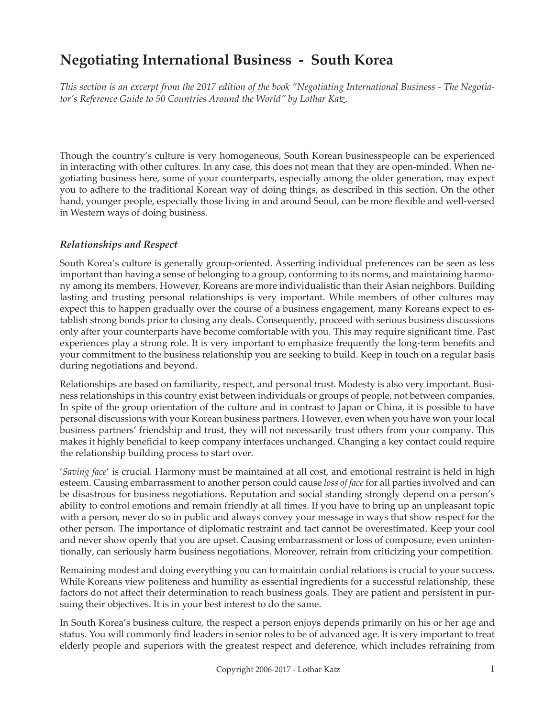# **Negotiating International Business - South Korea**

*This section is an excerpt from the 2017 edition of the book "Negotiating International Business - The Negotiator's Reference Guide to 50 Countries Around the World" by Lothar Katz.*

Though the country's culture is very homogeneous, South Korean businesspeople can be experienced in interacting with other cultures. In any case, this does not mean that they are open-minded. When negotiating business here, some of your counterparts, especially among the older generation, may expect you to adhere to the traditional Korean way of doing things, as described in this section. On the other hand, younger people, especially those living in and around Seoul, can be more flexible and well-versed in Western ways of doing business.

#### *Relationships and Respect*

South Korea's culture is generally group-oriented. Asserting individual preferences can be seen as less important than having a sense of belonging to a group, conforming to its norms, and maintaining harmony among its members. However, Koreans are more individualistic than their Asian neighbors. Building lasting and trusting personal relationships is very important. While members of other cultures may expect this to happen gradually over the course of a business engagement, many Koreans expect to establish strong bonds prior to closing any deals. Consequently, proceed with serious business discussions only after your counterparts have become comfortable with you. This may require significant time. Past experiences play a strong role. It is very important to emphasize frequently the long-term benefits and your commitment to the business relationship you are seeking to build. Keep in touch on a regular basis during negotiations and beyond.

Relationships are based on familiarity, respect, and personal trust. Modesty is also very important. Business relationships in this country exist between individuals or groups of people, not between companies. In spite of the group orientation of the culture and in contrast to Japan or China, it is possible to have personal discussions with your Korean business partners. However, even when you have won your local business partners' friendship and trust, they will not necessarily trust others from your company. This makes it highly beneficial to keep company interfaces unchanged. Changing a key contact could require the relationship building process to start over.

'*Saving face*' is crucial. Harmony must be maintained at all cost, and emotional restraint is held in high esteem. Causing embarrassment to another person could cause *loss of face* for all parties involved and can be disastrous for business negotiations. Reputation and social standing strongly depend on a person's ability to control emotions and remain friendly at all times. If you have to bring up an unpleasant topic with a person, never do so in public and always convey your message in ways that show respect for the other person. The importance of diplomatic restraint and tact cannot be overestimated. Keep your cool and never show openly that you are upset. Causing embarrassment or loss of composure, even unintentionally, can seriously harm business negotiations. Moreover, refrain from criticizing your competition.

Remaining modest and doing everything you can to maintain cordial relations is crucial to your success. While Koreans view politeness and humility as essential ingredients for a successful relationship, these factors do not affect their determination to reach business goals. They are patient and persistent in pursuing their objectives. It is in your best interest to do the same.

In South Korea's business culture, the respect a person enjoys depends primarily on his or her age and status. You will commonly find leaders in senior roles to be of advanced age. It is very important to treat elderly people and superiors with the greatest respect and deference, which includes refraining from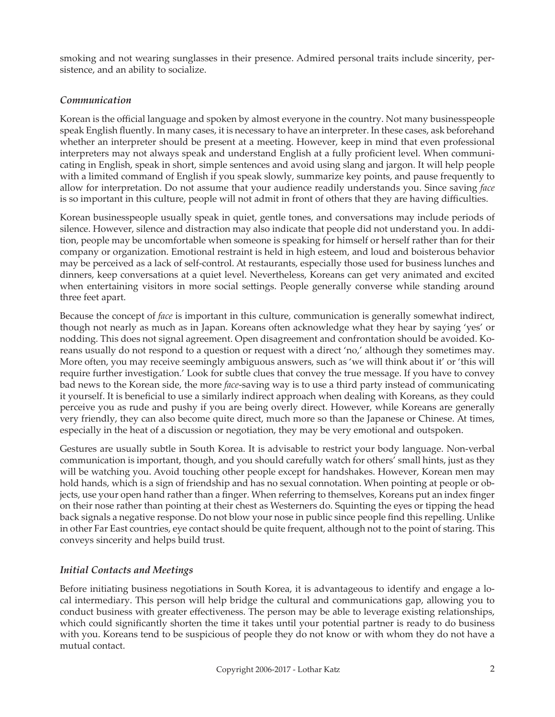smoking and not wearing sunglasses in their presence. Admired personal traits include sincerity, persistence, and an ability to socialize.

## *Communication*

Korean is the official language and spoken by almost everyone in the country. Not many businesspeople speak English fluently. In many cases, it is necessary to have an interpreter. In these cases, ask beforehand whether an interpreter should be present at a meeting. However, keep in mind that even professional interpreters may not always speak and understand English at a fully proficient level. When communicating in English, speak in short, simple sentences and avoid using slang and jargon. It will help people with a limited command of English if you speak slowly, summarize key points, and pause frequently to allow for interpretation. Do not assume that your audience readily understands you. Since saving *face* is so important in this culture, people will not admit in front of others that they are having difficulties.

Korean businesspeople usually speak in quiet, gentle tones, and conversations may include periods of silence. However, silence and distraction may also indicate that people did not understand you. In addition, people may be uncomfortable when someone is speaking for himself or herself rather than for their company or organization. Emotional restraint is held in high esteem, and loud and boisterous behavior may be perceived as a lack of self-control. At restaurants, especially those used for business lunches and dinners, keep conversations at a quiet level. Nevertheless, Koreans can get very animated and excited when entertaining visitors in more social settings. People generally converse while standing around three feet apart.

Because the concept of *face* is important in this culture, communication is generally somewhat indirect, though not nearly as much as in Japan. Koreans often acknowledge what they hear by saying 'yes' or nodding. This does not signal agreement. Open disagreement and confrontation should be avoided. Koreans usually do not respond to a question or request with a direct 'no,' although they sometimes may. More often, you may receive seemingly ambiguous answers, such as 'we will think about it' or 'this will require further investigation.' Look for subtle clues that convey the true message. If you have to convey bad news to the Korean side, the more *face*-saving way is to use a third party instead of communicating it yourself. It is beneficial to use a similarly indirect approach when dealing with Koreans, as they could perceive you as rude and pushy if you are being overly direct. However, while Koreans are generally very friendly, they can also become quite direct, much more so than the Japanese or Chinese. At times, especially in the heat of a discussion or negotiation, they may be very emotional and outspoken.

Gestures are usually subtle in South Korea. It is advisable to restrict your body language. Non-verbal communication is important, though, and you should carefully watch for others' small hints, just as they will be watching you. Avoid touching other people except for handshakes. However, Korean men may hold hands, which is a sign of friendship and has no sexual connotation. When pointing at people or objects, use your open hand rather than a finger. When referring to themselves, Koreans put an index finger on their nose rather than pointing at their chest as Westerners do. Squinting the eyes or tipping the head back signals a negative response. Do not blow your nose in public since people find this repelling. Unlike in other Far East countries, eye contact should be quite frequent, although not to the point of staring. This conveys sincerity and helps build trust.

# *Initial Contacts and Meetings*

Before initiating business negotiations in South Korea, it is advantageous to identify and engage a local intermediary. This person will help bridge the cultural and communications gap, allowing you to conduct business with greater effectiveness. The person may be able to leverage existing relationships, which could significantly shorten the time it takes until your potential partner is ready to do business with you. Koreans tend to be suspicious of people they do not know or with whom they do not have a mutual contact.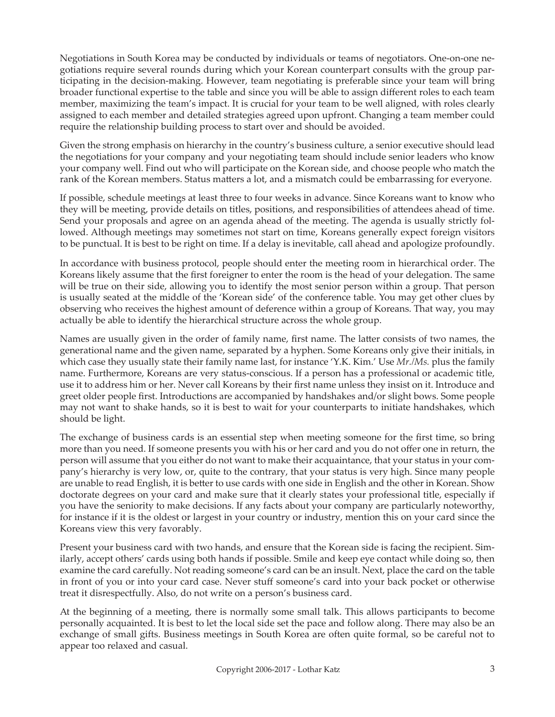Negotiations in South Korea may be conducted by individuals or teams of negotiators. One-on-one negotiations require several rounds during which your Korean counterpart consults with the group participating in the decision-making. However, team negotiating is preferable since your team will bring broader functional expertise to the table and since you will be able to assign different roles to each team member, maximizing the team's impact. It is crucial for your team to be well aligned, with roles clearly assigned to each member and detailed strategies agreed upon upfront. Changing a team member could require the relationship building process to start over and should be avoided.

Given the strong emphasis on hierarchy in the country's business culture, a senior executive should lead the negotiations for your company and your negotiating team should include senior leaders who know your company well. Find out who will participate on the Korean side, and choose people who match the rank of the Korean members. Status matters a lot, and a mismatch could be embarrassing for everyone.

If possible, schedule meetings at least three to four weeks in advance. Since Koreans want to know who they will be meeting, provide details on titles, positions, and responsibilities of attendees ahead of time. Send your proposals and agree on an agenda ahead of the meeting. The agenda is usually strictly followed. Although meetings may sometimes not start on time, Koreans generally expect foreign visitors to be punctual. It is best to be right on time. If a delay is inevitable, call ahead and apologize profoundly.

In accordance with business protocol, people should enter the meeting room in hierarchical order. The Koreans likely assume that the first foreigner to enter the room is the head of your delegation. The same will be true on their side, allowing you to identify the most senior person within a group. That person is usually seated at the middle of the 'Korean side' of the conference table. You may get other clues by observing who receives the highest amount of deference within a group of Koreans. That way, you may actually be able to identify the hierarchical structure across the whole group.

Names are usually given in the order of family name, first name. The latter consists of two names, the generational name and the given name, separated by a hyphen. Some Koreans only give their initials, in which case they usually state their family name last, for instance 'Y.K. Kim.' Use *Mr./Ms.* plus the family name. Furthermore, Koreans are very status-conscious. If a person has a professional or academic title, use it to address him or her. Never call Koreans by their first name unless they insist on it. Introduce and greet older people first. Introductions are accompanied by handshakes and/or slight bows. Some people may not want to shake hands, so it is best to wait for your counterparts to initiate handshakes, which should be light.

The exchange of business cards is an essential step when meeting someone for the first time, so bring more than you need. If someone presents you with his or her card and you do not offer one in return, the person will assume that you either do not want to make their acquaintance, that your status in your company's hierarchy is very low, or, quite to the contrary, that your status is very high. Since many people are unable to read English, it is better to use cards with one side in English and the other in Korean. Show doctorate degrees on your card and make sure that it clearly states your professional title, especially if you have the seniority to make decisions. If any facts about your company are particularly noteworthy, for instance if it is the oldest or largest in your country or industry, mention this on your card since the Koreans view this very favorably.

Present your business card with two hands, and ensure that the Korean side is facing the recipient. Similarly, accept others' cards using both hands if possible. Smile and keep eye contact while doing so, then examine the card carefully. Not reading someone's card can be an insult. Next, place the card on the table in front of you or into your card case. Never stuff someone's card into your back pocket or otherwise treat it disrespectfully. Also, do not write on a person's business card.

At the beginning of a meeting, there is normally some small talk. This allows participants to become personally acquainted. It is best to let the local side set the pace and follow along. There may also be an exchange of small gifts. Business meetings in South Korea are often quite formal, so be careful not to appear too relaxed and casual.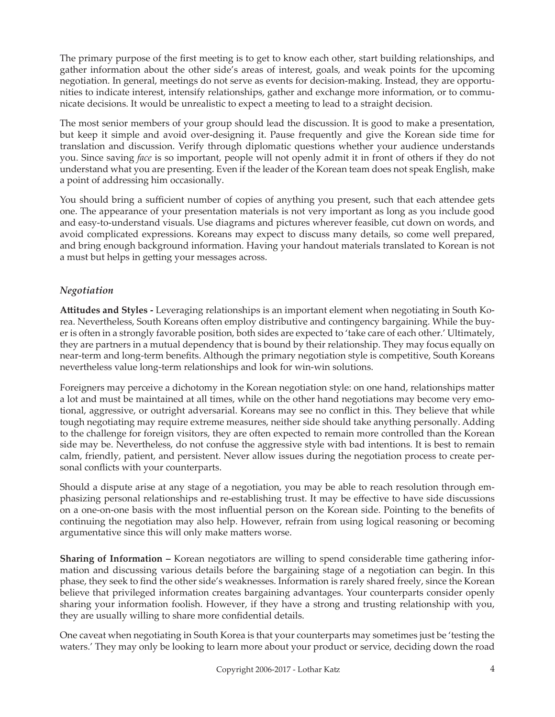The primary purpose of the first meeting is to get to know each other, start building relationships, and gather information about the other side's areas of interest, goals, and weak points for the upcoming negotiation. In general, meetings do not serve as events for decision-making. Instead, they are opportunities to indicate interest, intensify relationships, gather and exchange more information, or to communicate decisions. It would be unrealistic to expect a meeting to lead to a straight decision.

The most senior members of your group should lead the discussion. It is good to make a presentation, but keep it simple and avoid over-designing it. Pause frequently and give the Korean side time for translation and discussion. Verify through diplomatic questions whether your audience understands you. Since saving *face* is so important, people will not openly admit it in front of others if they do not understand what you are presenting. Even if the leader of the Korean team does not speak English, make a point of addressing him occasionally.

You should bring a sufficient number of copies of anything you present, such that each attendee gets one. The appearance of your presentation materials is not very important as long as you include good and easy-to-understand visuals. Use diagrams and pictures wherever feasible, cut down on words, and avoid complicated expressions. Koreans may expect to discuss many details, so come well prepared, and bring enough background information. Having your handout materials translated to Korean is not a must but helps in getting your messages across.

# *Negotiation*

**Attitudes and Styles -** Leveraging relationships is an important element when negotiating in South Korea. Nevertheless, South Koreans often employ distributive and contingency bargaining. While the buyer is often in a strongly favorable position, both sides are expected to 'take care of each other.' Ultimately, they are partners in a mutual dependency that is bound by their relationship. They may focus equally on near-term and long-term benefits. Although the primary negotiation style is competitive, South Koreans nevertheless value long-term relationships and look for win-win solutions.

Foreigners may perceive a dichotomy in the Korean negotiation style: on one hand, relationships matter a lot and must be maintained at all times, while on the other hand negotiations may become very emotional, aggressive, or outright adversarial. Koreans may see no conflict in this. They believe that while tough negotiating may require extreme measures, neither side should take anything personally. Adding to the challenge for foreign visitors, they are often expected to remain more controlled than the Korean side may be. Nevertheless, do not confuse the aggressive style with bad intentions. It is best to remain calm, friendly, patient, and persistent. Never allow issues during the negotiation process to create personal conflicts with your counterparts.

Should a dispute arise at any stage of a negotiation, you may be able to reach resolution through emphasizing personal relationships and re-establishing trust. It may be effective to have side discussions on a one-on-one basis with the most influential person on the Korean side. Pointing to the benefits of continuing the negotiation may also help. However, refrain from using logical reasoning or becoming argumentative since this will only make matters worse.

**Sharing of Information –** Korean negotiators are willing to spend considerable time gathering information and discussing various details before the bargaining stage of a negotiation can begin. In this phase, they seek to find the other side's weaknesses. Information is rarely shared freely, since the Korean believe that privileged information creates bargaining advantages. Your counterparts consider openly sharing your information foolish. However, if they have a strong and trusting relationship with you, they are usually willing to share more confidential details.

One caveat when negotiating in South Korea is that your counterparts may sometimes just be 'testing the waters.' They may only be looking to learn more about your product or service, deciding down the road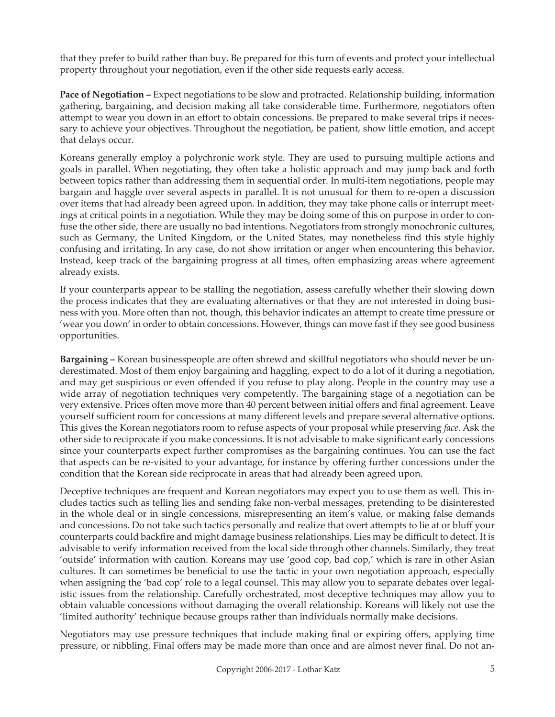that they prefer to build rather than buy. Be prepared for this turn of events and protect your intellectual property throughout your negotiation, even if the other side requests early access.

**Pace of Negotiation –** Expect negotiations to be slow and protracted. Relationship building, information gathering, bargaining, and decision making all take considerable time. Furthermore, negotiators often attempt to wear you down in an effort to obtain concessions. Be prepared to make several trips if necessary to achieve your objectives. Throughout the negotiation, be patient, show little emotion, and accept that delays occur.

Koreans generally employ a polychronic work style. They are used to pursuing multiple actions and goals in parallel. When negotiating, they often take a holistic approach and may jump back and forth between topics rather than addressing them in sequential order. In multi-item negotiations, people may bargain and haggle over several aspects in parallel. It is not unusual for them to re-open a discussion over items that had already been agreed upon. In addition, they may take phone calls or interrupt meetings at critical points in a negotiation. While they may be doing some of this on purpose in order to confuse the other side, there are usually no bad intentions. Negotiators from strongly monochronic cultures, such as Germany, the United Kingdom, or the United States, may nonetheless find this style highly confusing and irritating. In any case, do not show irritation or anger when encountering this behavior. Instead, keep track of the bargaining progress at all times, often emphasizing areas where agreement already exists.

If your counterparts appear to be stalling the negotiation, assess carefully whether their slowing down the process indicates that they are evaluating alternatives or that they are not interested in doing business with you. More often than not, though, this behavior indicates an attempt to create time pressure or 'wear you down' in order to obtain concessions. However, things can move fast if they see good business opportunities.

**Bargaining –** Korean businesspeople are often shrewd and skillful negotiators who should never be underestimated. Most of them enjoy bargaining and haggling, expect to do a lot of it during a negotiation, and may get suspicious or even offended if you refuse to play along. People in the country may use a wide array of negotiation techniques very competently. The bargaining stage of a negotiation can be very extensive. Prices often move more than 40 percent between initial offers and final agreement. Leave yourself sufficient room for concessions at many different levels and prepare several alternative options. This gives the Korean negotiators room to refuse aspects of your proposal while preserving *face*. Ask the other side to reciprocate if you make concessions. It is not advisable to make significant early concessions since your counterparts expect further compromises as the bargaining continues. You can use the fact that aspects can be re-visited to your advantage, for instance by offering further concessions under the condition that the Korean side reciprocate in areas that had already been agreed upon.

Deceptive techniques are frequent and Korean negotiators may expect you to use them as well. This includes tactics such as telling lies and sending fake non-verbal messages, pretending to be disinterested in the whole deal or in single concessions, misrepresenting an item's value, or making false demands and concessions. Do not take such tactics personally and realize that overt attempts to lie at or bluff your counterparts could backfire and might damage business relationships. Lies may be difficult to detect. It is advisable to verify information received from the local side through other channels. Similarly, they treat 'outside' information with caution. Koreans may use 'good cop, bad cop,' which is rare in other Asian cultures. It can sometimes be beneficial to use the tactic in your own negotiation approach, especially when assigning the 'bad cop' role to a legal counsel. This may allow you to separate debates over legalistic issues from the relationship. Carefully orchestrated, most deceptive techniques may allow you to obtain valuable concessions without damaging the overall relationship. Koreans will likely not use the 'limited authority' technique because groups rather than individuals normally make decisions.

Negotiators may use pressure techniques that include making final or expiring offers, applying time pressure, or nibbling. Final offers may be made more than once and are almost never final. Do not an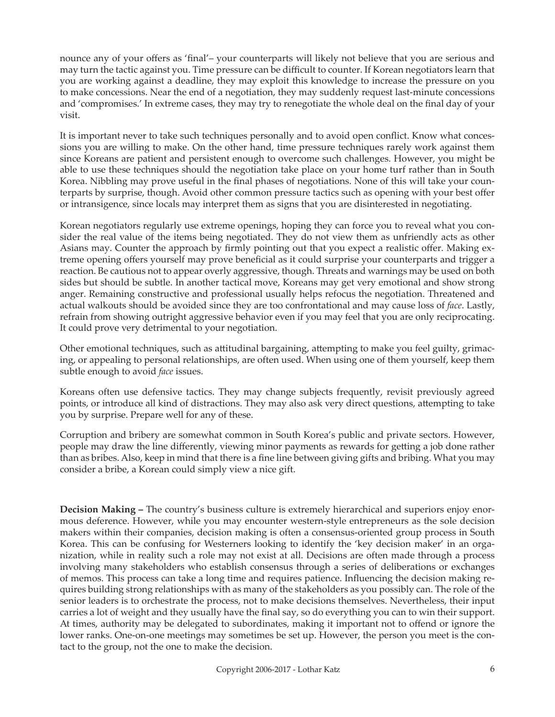nounce any of your offers as 'final'– your counterparts will likely not believe that you are serious and may turn the tactic against you. Time pressure can be difficult to counter. If Korean negotiators learn that you are working against a deadline, they may exploit this knowledge to increase the pressure on you to make concessions. Near the end of a negotiation, they may suddenly request last-minute concessions and 'compromises.' In extreme cases, they may try to renegotiate the whole deal on the final day of your visit.

It is important never to take such techniques personally and to avoid open conflict. Know what concessions you are willing to make. On the other hand, time pressure techniques rarely work against them since Koreans are patient and persistent enough to overcome such challenges. However, you might be able to use these techniques should the negotiation take place on your home turf rather than in South Korea. Nibbling may prove useful in the final phases of negotiations. None of this will take your counterparts by surprise, though. Avoid other common pressure tactics such as opening with your best offer or intransigence, since locals may interpret them as signs that you are disinterested in negotiating.

Korean negotiators regularly use extreme openings, hoping they can force you to reveal what you consider the real value of the items being negotiated. They do not view them as unfriendly acts as other Asians may. Counter the approach by firmly pointing out that you expect a realistic offer. Making extreme opening offers yourself may prove beneficial as it could surprise your counterparts and trigger a reaction. Be cautious not to appear overly aggressive, though. Threats and warnings may be used on both sides but should be subtle. In another tactical move, Koreans may get very emotional and show strong anger. Remaining constructive and professional usually helps refocus the negotiation. Threatened and actual walkouts should be avoided since they are too confrontational and may cause loss of *face*. Lastly, refrain from showing outright aggressive behavior even if you may feel that you are only reciprocating. It could prove very detrimental to your negotiation.

Other emotional techniques, such as attitudinal bargaining, attempting to make you feel guilty, grimacing, or appealing to personal relationships, are often used. When using one of them yourself, keep them subtle enough to avoid *face* issues.

Koreans often use defensive tactics. They may change subjects frequently, revisit previously agreed points, or introduce all kind of distractions. They may also ask very direct questions, attempting to take you by surprise. Prepare well for any of these.

Corruption and bribery are somewhat common in South Korea's public and private sectors. However, people may draw the line differently, viewing minor payments as rewards for getting a job done rather than as bribes. Also, keep in mind that there is a fine line between giving gifts and bribing. What you may consider a bribe, a Korean could simply view a nice gift.

**Decision Making –** The country's business culture is extremely hierarchical and superiors enjoy enormous deference. However, while you may encounter western-style entrepreneurs as the sole decision makers within their companies, decision making is often a consensus-oriented group process in South Korea. This can be confusing for Westerners looking to identify the 'key decision maker' in an organization, while in reality such a role may not exist at all. Decisions are often made through a process involving many stakeholders who establish consensus through a series of deliberations or exchanges of memos. This process can take a long time and requires patience. Influencing the decision making requires building strong relationships with as many of the stakeholders as you possibly can. The role of the senior leaders is to orchestrate the process, not to make decisions themselves. Nevertheless, their input carries a lot of weight and they usually have the final say, so do everything you can to win their support. At times, authority may be delegated to subordinates, making it important not to offend or ignore the lower ranks. One-on-one meetings may sometimes be set up. However, the person you meet is the contact to the group, not the one to make the decision.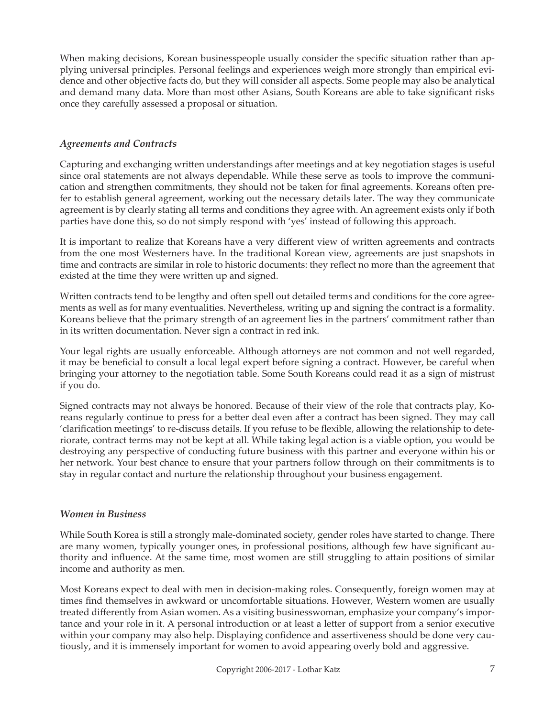When making decisions, Korean businesspeople usually consider the specific situation rather than applying universal principles. Personal feelings and experiences weigh more strongly than empirical evidence and other objective facts do, but they will consider all aspects. Some people may also be analytical and demand many data. More than most other Asians, South Koreans are able to take significant risks once they carefully assessed a proposal or situation.

## *Agreements and Contracts*

Capturing and exchanging written understandings after meetings and at key negotiation stages is useful since oral statements are not always dependable. While these serve as tools to improve the communication and strengthen commitments, they should not be taken for final agreements. Koreans often prefer to establish general agreement, working out the necessary details later. The way they communicate agreement is by clearly stating all terms and conditions they agree with. An agreement exists only if both parties have done this, so do not simply respond with 'yes' instead of following this approach.

It is important to realize that Koreans have a very different view of written agreements and contracts from the one most Westerners have. In the traditional Korean view, agreements are just snapshots in time and contracts are similar in role to historic documents: they reflect no more than the agreement that existed at the time they were written up and signed.

Written contracts tend to be lengthy and often spell out detailed terms and conditions for the core agreements as well as for many eventualities. Nevertheless, writing up and signing the contract is a formality. Koreans believe that the primary strength of an agreement lies in the partners' commitment rather than in its written documentation. Never sign a contract in red ink.

Your legal rights are usually enforceable. Although attorneys are not common and not well regarded, it may be beneficial to consult a local legal expert before signing a contract. However, be careful when bringing your attorney to the negotiation table. Some South Koreans could read it as a sign of mistrust if you do.

Signed contracts may not always be honored. Because of their view of the role that contracts play, Koreans regularly continue to press for a better deal even after a contract has been signed. They may call 'clarification meetings' to re-discuss details. If you refuse to be flexible, allowing the relationship to deteriorate, contract terms may not be kept at all. While taking legal action is a viable option, you would be destroying any perspective of conducting future business with this partner and everyone within his or her network. Your best chance to ensure that your partners follow through on their commitments is to stay in regular contact and nurture the relationship throughout your business engagement.

#### *Women in Business*

While South Korea is still a strongly male-dominated society, gender roles have started to change. There are many women, typically younger ones, in professional positions, although few have significant authority and influence. At the same time, most women are still struggling to attain positions of similar income and authority as men.

Most Koreans expect to deal with men in decision-making roles. Consequently, foreign women may at times find themselves in awkward or uncomfortable situations. However, Western women are usually treated differently from Asian women. As a visiting businesswoman, emphasize your company's importance and your role in it. A personal introduction or at least a letter of support from a senior executive within your company may also help. Displaying confidence and assertiveness should be done very cautiously, and it is immensely important for women to avoid appearing overly bold and aggressive.